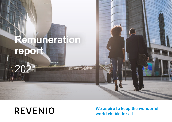# **Remuneration report**

# **REVENIO**

2021

## **We aspire to keep the wonderful world visible for all**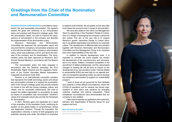## **Greetings from the Chair of the Nomination and Remuneration Committee**

**REVENIO GROUP CORPORATION** is committed to transparent, fair and responsible remuneration. We regularly assess the goals and uniformity of our remuneration policy and practices with Revenio's strategic goals. With the remuneration report, we want to improve the transparency of remuneration in the company and describe the implementation of the remuneration policy.

Revenio's Nomination and Remuneration Committee has approved this remuneration report and ensured that the company's remuneration practices are in line with the principles of the company's remuneration policy, which was published in 2019, and serve the interests of the company and its shareholders. The remuneration policy has been approved by Revenio's 2021 Annual General Meeting in accordance with the Board's proposal.

The remuneration policy has been prepared in accordance with the Directive amending the EU's Shareholder Rights Directive and the regulatory framework of the Finnish Securities Market Association's Corporate Governance Code 2020.

Revenio is an internationally successful company that represents the health technology sector and whose key remuneration principle is to support the accomplishment of the Group's strategic goals and provide rewards for results in line with the Group's strategy, culture, and values, and for successful performance. We want to support the skilled organization to accomplish its goals by means of competitive total remuneration. Revenio's values and corporate culture also provide the framework for remuneration.

In 2021, Revenio grew and expanded as a result of the acquisition of the Australian Oculo, reinforcing its position as the global leader of comprehensive clinical eye diagnostics solutions. Through the acquisition, the organization's diversity, in terms of both geography and expertise, became even wider. We believe it is important to adapt to local markets. We are global, but we also take local needs into account when it comes to remuneration.

We have also added a new role to our Management Team by appointing a Vice President, People & Culture, who is in charge of developing the company's personnel and culture. The aim of the new role is to support Revenio's growth, harmonize People & Culture activities in our global organization and reinforce our corporate culture. The development of effective total remuneration together with Revenio's Nomination and Remuneration Committee and the Management Group is an important part of the responsibilities of the new role.

In addition to internal development work, it is important to consider the world outside: we monitor the development of the macroeconomy and remuneration in our sector. Inflation, increased competition in the recruitment of skilled professionals, and the value-based changes to working life will all have an impact on the development of our remuneration model. Themes related to sustainability (ESG) are also high on our agenda and, with our transparent operating model, we want to develop the company's remuneration to support our sustainability program.

I want to thank all our personnel for their flexibility and creativity in these difficult circumstances, where the COVID-19 pandemic and its variants has forced organizations to think about new solutions for arranging customer meetings and internal cooperation. These exceptional circumstances have demonstrated that our company is very resilient.

I also want to express my gratitude to the customers, partners, and shareholders of Revenio Group for your support and trust.

#### **Ann-Christine Sundell**

**Chair of the Nomination and Remuneration Committee Revenio Group Corporation**

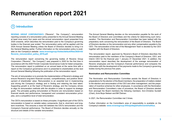# **Remuneration report 2021**

#### **1 Introduction**

**REVENIO GROUP CORPORATION'S** ("Revenio", "the Company") remuneration reporting consists of a remuneration policy presented to the Annual General Meeting at least once every four years and the annual remuneration report presented from 2020 onwards, which describes the remuneration paid to the Company's governing bodies in the financial year ended. The remuneration policy will be applied until the 2024 Annual General Meeting unless the Board of Directors decides to bring it to the General Meeting earlier. Further information on the remuneration policy is available on the Company's website: **[www.reveniogroup.fi/sites/default/files/2020-03/](http://www.reveniogroup.fi/sites/default/files/2020-03/Revenio_remuneration_policy_2019.pdf) [Revenio\\_remuneration\\_policy\\_2019.pdf](http://www.reveniogroup.fi/sites/default/files/2020-03/Revenio_remuneration_policy_2019.pdf)**.

The remuneration report concerning the governing bodies of Revenio Group Corporation ("Revenio", "the Company") was prepared in 2020 for the first time in accordance with the 2020 Finnish Corporate Governance Code for listed companies. The remuneration report is published on an annual basis at the same time with a report on the Company's governance and it is presented to shareholders at the next Annual General Meeting following the publication of the remuneration report.

The aim of remuneration is to promote the implementation of Revenio's strategy and ensure Revenio's long-term financial success, competitiveness, and positive development of shareholder value. Remuneration is an essential tool in implementing and driving the Company's strategy and in finding and retaining the best talent. Supporting growth is at the heart of Revenio's strategy, and the Company strives to align its remuneration methods with the situation in order to support its strategic goals. The principles guiding remuneration at Revenio are remuneration based on financial results and performance, transparent and consistent remuneration principles, and a competitive level of total remuneration.

The CEO's remuneration is based on these principles. A significant part of the CEO's remuneration is based on variable salary components, that is, short-term and longterm incentives. This ensures a close link between the CEO's remuneration and the Company's financial performance. The Board of Directors decides annually on the structure and details of the variable remuneration.

The Annual General Meeting decides on the remuneration payable for the work of the Board of Directors and committees and the criteria for determining such remuneration. The Nomination and Remuneration Committee has been tasked with the preparatory work concerning the remuneration of the Board of Directors. The Board of Directors decides on the remuneration and any other compensation payable to the CEO. The remuneration of the rest of the Management Team is decided by the CEO together with the Board of Directors.

This remuneration report, approved by Revenio's Board of Directors describes the remuneration paid to the members of the Company's Board of Directors, CEO, and Interim CEO for the financial year 1 January–31 December 2021. In addition, the remuneration report describes the development of the average remuneration of Revenio employees and the Company's financial performance and compares the information with the development of the payments made to the Company's governing bodies during the previous five years.

#### **Nomination and Remuneration Committee**

The Nomination and Remuneration Committee assists the Board of Directors in preparations for the election of the Board members, the preparation of matters related to the election and remuneration of the CEO and other management, and the preparation of incentive schemes for other employees. In accordance with the Nomination and Remuneration Committee's rules of procedure, the Board of Directors elected from amongst the Board members the following members: Ann-Christine Sundell (Chair), Arne Boye Nielsen and Bill Östman.

In 2021, the Remuneration Committee met 3 times.

Further information on the Committee's area of responsibility is available on the Company's website: **[www.reveniogroup.fi/fi/sijoittajat/hallinnointi/hallitus](http://www.reveniogroup.fi/fi/sijoittajat/hallinnointi/hallitus)**.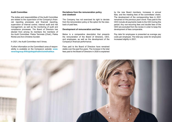#### **Audit Committee**

The duties and responsibilities of the Audit Committee are related to the supervision of the Company's financial reporting processes and financial reporting, supervision of internal control, internal audit and risk management, as well as the monitoring of audit and compliance processes. The Board of Directors has elected from among its members the members of the Audit Committee: Pekka Tammela (Chair), Pekka Rönkä and Ann-Christine Sundell.

In 2021, the Audit Committee met 5 times.

Further information on the Committee's area of responsibility is available on the Company's website: **[www.](http://www.reveniogroup.fi/fi/sijoittajat/hallinnointi/hallitus) [reveniogroup.fi/fi/sijoittajat/hallinnointi/hallitus](http://www.reveniogroup.fi/fi/sijoittajat/hallinnointi/hallitus)**

#### **Deviations from the remuneration policy and clawback**

The Company has not exercised its right to deviate from the remuneration policy or the option for the clawback of paid fees.

#### **Development of remuneration and fees**

Below is a comparative description that presents the remuneration of the Board of Directors, CEO, and employees, as well as the development of the Company's financial performance.

Fees paid to the Board of Directors have remained stable over the past five years. The increase in the total fees paid to the Board of Directors in 2020 is explained

by the new Board members, increases in annual fees, and the meeting fees of the committees' chairs. The development of the corresponding fees in 2021 remained on the previous year's level. Fees paid to the CEO include all payments made to the CEO during this period. Any non-recurring fees and double fees of the CEO are excluded from the review in order to keep the development of fees comparable.

Pay data for employees is presented as average pay costs per employee. The total pay costs for employees increased slightly in 2021.

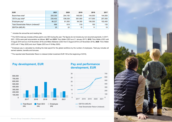| <b>EUR</b>                                      | 2021    | 2020    | 2019    | 2018    | 2017    |
|-------------------------------------------------|---------|---------|---------|---------|---------|
| Board fees total <sup>1</sup>                   | 200,300 | 204,150 | 148,000 | 144,000 | 144,000 |
| CEO's pay total <sup>2</sup>                    | 235,402 | 336,038 | 581,900 | 417.000 | 257,000 |
| Employee pay <sup>3</sup>                       | 86,227  | 81,500  | 94,300  | 106,300 | 102,400 |
| Total Shareholder Return (indexed) <sup>4</sup> | 686     | 618     | 319     | 150     | 135     |
| EBITDA (MEUR)                                   | 25      | 22      | 15      | 11      | 10      |

<sup>1</sup> Includes the annual fee and meeting fee.

² The CEO's total pay includes all fees paid to one CEO during the year. The figures do not include any non-recurrent payments. In 2017– 2021, CEOs were paid remuneration as follows: **2017** and **2018**: Timo Hildén (CEO as of 1 January 2017), **2019**: Timo Hildén (CEO until 4 August 2019 and as of 25 November 2019) and Mikko Moilanen (CEO from 5 August 2019 to 24 November 2019), **2020**: Timo Hildén (CEO until 17 May 2020) and Jouni Toijala (CEO as of 18 May 2020).

<sup>3</sup> Employee pay is calculated by dividing the total payroll for the global workforce by the number of employees. Total pay includes all earned salaries, benefits and bonuses.

**<sup>4</sup>** The reported total Shareholder Return is indexed (initial investment EUR 100 at the beginning of 2016).

#### **Pay development, EUR Pay and performance**



# **development, EUR**



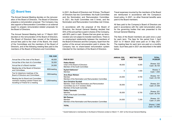### **2 Board fees**

The Annual General Meeting decides on the remuneration of the Board of Directors. The Board of Directors prepares a remuneration proposal. The Company may also appoint a Remuneration Committee or an external expert to prepare remuneration-related proposals for the Board of Directors.

The Annual General Meeting held on 17 March 2021 decided on the remuneration of the Board of Directors. The Board of Directors' fees consist of the following annual fees paid to the chair of the Board, the chairs of the Committees and the members of the Board of Directors, and of the following meeting fees paid to the members of the Board of Directors and Committees.

|                                                                                                                    | FEE, EUR      |
|--------------------------------------------------------------------------------------------------------------------|---------------|
| Annual fee of the chair of the Board                                                                               | 48,000        |
| Annual fee of the chair of a Committee                                                                             | 30,000        |
| Annual fee of a Board member                                                                                       | 24,000        |
| Meeting fee of the Board of Directors<br>and Committees                                                            | 600/meeting   |
| Fee for telephone meetings of the<br><b>Board of Directors and Committees</b>                                      | 300/meeting   |
| Meeting fee for Board and Committee<br>members residing outside Finland and<br>travelling to Finland for a meeting | 1,200/meeting |

In 2021, the Board of Directors met 16 times. The Board of Directors has two Committees: the Audit Committee and the Nomination and Remuneration Committee. In 2021, the Audit Committee met 5 times, and the Nomination and Remuneration Committee met 3 times.

In accordance with the proposal of the Board of Directors, the Annual General Meeting decided that 40% of the annual fee is paid in shares of the Company, with 60% paid in cash. Shares that are given as remuneration are not subject to transfer restrictions. There is no employment relationship between the members of the Board of Directors and the Company. Apart from the portion of the annual remuneration paid in shares, the Company has no share-based remuneration system intended for the members of the Board of Directors.

Travel expenses incurred by the members of the Board are reimbursed in accordance with the Company's travel policy. In 2021, no other financial benefits were paid to the Board members.

All fees paid to the Company's Board of Directors are paid in accordance with the valid remuneration policy for the governing bodies that was presented to the Annual General Meeting.

The fees of the Board members are paid once a year for each term. The fees for the period from 1 April 2021 to 31 March 2022 were paid on 31 May 2021. The meeting fees for each term are paid on a monthly basis. Such fees paid in 2021 are described in the table below.

| <b>PAID IN 2021</b>                                                                                                                                   | <b>ANNUAL FEE,</b><br><b>EUR</b> | <b>MEETING FEES,</b><br><b>EUR</b> | TOTAL,<br><b>PCS/EUR</b>       |
|-------------------------------------------------------------------------------------------------------------------------------------------------------|----------------------------------|------------------------------------|--------------------------------|
| Pekka Rönkä<br>Chair of the Board of Directors<br>Member of the Audit Committee                                                                       | 48,000                           | 9,300                              | Shares: 322<br>Cash: 38,100    |
| Kyösti Kakkonen*<br>Member                                                                                                                            | 0                                | 1,500                              | Shares: 0<br>Cash: 1,500       |
| <b>Arne Boye Nielsen</b><br>Member<br>Member of the Nomination and Remuneration Committee                                                             | 24,000                           | 8,700                              | Shares: 161<br>Cash: 23,100    |
| <b>Ann-Christine Sundell</b><br>Member, Chair of the Nomination and Remuneration<br>Committee (as of 21 October 2020)<br>Member of the Audit Committe | 30,000                           | 9,300                              | Shares: 201<br>Cash: 27,300    |
| Pekka Tammela<br>Member<br><b>Chair of the Audit Committee</b>                                                                                        | 30,000                           | 8,700                              | Shares: 201<br>Cash: 26,700    |
| <b>Bill Östman</b><br>Member<br>Member of the Nomination and Remuneration Committee                                                                   | 24,000                           | 7,200                              | Shares: 161<br>Cash: 21,200    |
| <b>TOTAL</b>                                                                                                                                          |                                  |                                    | Shares: 1,046<br>Cash: 137,900 |

\* Kyösti Kakkonen's membership in the Board of Directors ended on March 17, 2021 at the Annual General Meeting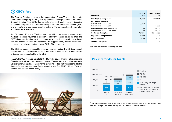## **3 CEO's fees**

The Board of Directors decides on the remuneration of the CEO in accordance with the remuneration policy for the governing bodies that was presented to the Annual General Meeting. The CEO's fee consists of a fixed monthly salary (including supplementary pension and fringe benefits), a short-term incentive scheme (STI), and a long-term share-based incentive scheme (Performance-based share plan and Restricted share plan).

As of 1 January 2012, the CEO has been covered by group pension insurance and medical expenses insurance in addition to statutory pension cover. In 2021, the CEO's insurance has been extended to cover serious illness, which is consistent with the policy applied to all employees. The supplementary pension is contribution-based, with the amount paid being EUR 1,000 per month.

The CEO Agreement is subject to customary terms of notice. The CEO Agreement also includes a confidentiality clause, a non-compete clause and a prohibition of enticement clause applicable to the CEO.

In 2021, the CEO received a total of EUR 235,102 in pay and remuneration, including fringe benefits. All fees paid to the Company's CEO are paid in accordance with the valid remuneration policy concerning the governing bodies that was presented to the Annual General Meeting. Jouni Toijala was paid a total fee of EUR 253,102. The total amount was paid as a fixed salary.



| <b>ELEMENT</b>                                                                        | <b>PAID IN</b><br>2021     | <b>TO BE PAID IN</b><br>2022 |
|---------------------------------------------------------------------------------------|----------------------------|------------------------------|
| <b>Fixed salary component</b>                                                         | 219.232                    | 221.250*                     |
| <b>Short-term incentive</b><br>Performance period 2020<br>Performance period 2021     | 33,630                     | 128,396                      |
| Performance-based share plan<br>Performance period 2018-2020<br>Restricted share plan | 00.00<br>00.00<br>0 shares | 00.00<br>00.00<br>400 shares |
| <b>Supplementary pensions</b>                                                         | 12.000                     | 12.000                       |
| <b>Fringe benefits</b>                                                                | 240.00                     | 240.00                       |
| Severance payments                                                                    |                            |                              |

\* Amount known at time of report publication



<sup>1</sup> The basic salary illustrated in the chart is the annualized basic level. The LTI RS system was calculated using the estimated January 2022 value of the shares issued to the CEO.

#### **Pay mix for Jouni Toijala<sup>1</sup>**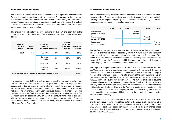#### **Short-term incentive scheme**

The purpose of the short-term incentive scheme is to support the achievement of Revenio's annual financial and strategic objectives. The payment of the short-term incentive is based on the meeting of performance criteria during the performance period. The performance criteria are decided by the Board of Directors. The highest possible annual short-term incentive for Revenio's CEO corresponds to the fixed salary component for nine months.

The criteria in the short-term incentive scheme are EBITDA and cash flow at the Group level and individual targets. The achievement of these criteria is described below:

| <b>PERFOR-</b><br><b>MANCE</b><br><b>PERIOD</b>                  | <b>TIME OF</b><br><b>PAYMENT</b> | <b>PERFOR-</b><br><b>MANCE</b><br><b>CRITERION</b> | <b>WEIGHTING</b> | <b>OUTCOME</b><br>(% OF THE<br><b>TOTAL KPI</b><br><b>VALUE)</b> | <b>WEIGHTED</b><br><b>OUTCOME</b> |
|------------------------------------------------------------------|----------------------------------|----------------------------------------------------|------------------|------------------------------------------------------------------|-----------------------------------|
| 2021                                                             | 2022                             | <b>EBITDA</b>                                      | 20%              | 100%                                                             | 20%                               |
|                                                                  |                                  | Net sales<br>growth                                | 30%              | 100%                                                             | 30%                               |
|                                                                  |                                  | Cash flow                                          | 20%              | 100%                                                             | 20%                               |
|                                                                  |                                  | Individual<br>objectives                           | 30%              | 35.3%                                                            | 10.6%                             |
| <b>MEETING THE SHORT-TERM INCENTIVE CRITERIA, TOTAL</b><br>80.6% |                                  |                                                    |                  |                                                                  |                                   |

It is possible for the CEO to invest an amount equal to two months' salary from the short-term performance bonus in the personnel fund. The employee fund established by the Company is open to all employees of the Company in Finland. Employees may transfer to the personnel fund from their annual bonus an amount not exceeding two months' salary. Each employee decides for themselves whether they participate in the fund. Alternatively, bonuses can also be taken as salary. The Company pays an additional 25% on top of the amount transferred to the fund, with this additional amount corresponding to the statutory costs that the Company would have to pay if the bonus were paid as salary. The fund invests in the shares of Revenio Group Corporation.

#### **Performance-based share plan**

The purpose of the long-term performance-based share plan is to support the implementation of the Company's strategy, increase the Company's value and profits in the long-term, strengthen the participants' commitment to the company, and provide the participants with competitive total remuneration.



The performance-based share plan consists of three-year performance periods. The Board of Directors decides separately on the minimum, target and maximum bonus as well as the performance criteria and related targets. The amount of the bonus to be paid depends on the development of the share price in accordance with the pre-defined targets. Bonus is not paid if the targets are not met or if the participant's employment relationship ends before the bonus is paid.

The targets of the plan must be related to the total absolute shareholder return of the Company's share and cumulative operating result for three years. If the targets of the incentive scheme are achieved, bonuses will be paid in the spring of the year following the performance period. The total amount of the share incentive paid on the basis of the plan's performance periods may be no more than approximately 100,000 shares of Revenio Group Corporation. The number of shares is equal to gross earnings minus any cash component deducted from it in order to cover taxes and any other tax-like charges arising from the share incentive, with the remaining net incentive paid in shares. However, the Company has the right to pay the fee fully in cash in certain situations. The Company's Board of Directors may decide on new share-based incentive schemes within the limits of the authorization granted by the Annual General Meeting.

The criteria for the performance-based share plan are the total shareholder return and the cumulative operating result (as a cutter) at the Group level. The current CEO is eligible to participate in the performance period 2020–2022. In 2021, the current CEO was not paid share-based remuneration based on the performance-based share plan. The first potential payment under the performance-based share plan will be paid to the CEO in 2023.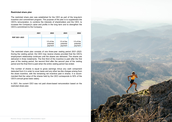#### **Restricted share plan**

The restricted share plan was established for the CEO as part of the long-term incentive and commitment program. The purpose of the plan is to supplement the CEO's remuneration, to combine the interests of shareholders and the CEO, to increase the Company's value and profits in the long term and to strengthen the CEO's commitment to the Company.

|               | 2021 | 2022                                 | 2023                                 | 2024                                 |
|---------------|------|--------------------------------------|--------------------------------------|--------------------------------------|
| RSP 2021-2023 |      |                                      |                                      |                                      |
|               |      | $1/3$ of the<br>potential<br>payment | $1/3$ of the<br>potential<br>payment | $1/3$ of the<br>potential<br>payment |

The restricted share plan consists of one three-year vesting period 2021–2023. During the vesting period, the CEO may receive shares provided that the CEO's employment relationship continues until the shares are delivered. The shares are delivered in three instalments. The first third of the incentive is paid after the first year of the vesting period, the second third after the second year of the vesting period and the final third is paid when the entire vesting period has ended.

The number of shares is equal to gross earnings minus any cash component deducted from it in order to cover taxes and any other tax-like charges arising from the share incentive, with the remaining net incentive paid in shares. It is recommended that the value of the shares held by the CEO corresponds to 50% of the CEO's annual gross basic salary.

In 2021, the current CEO was not paid share-based remuneration based on the restricted share plan.